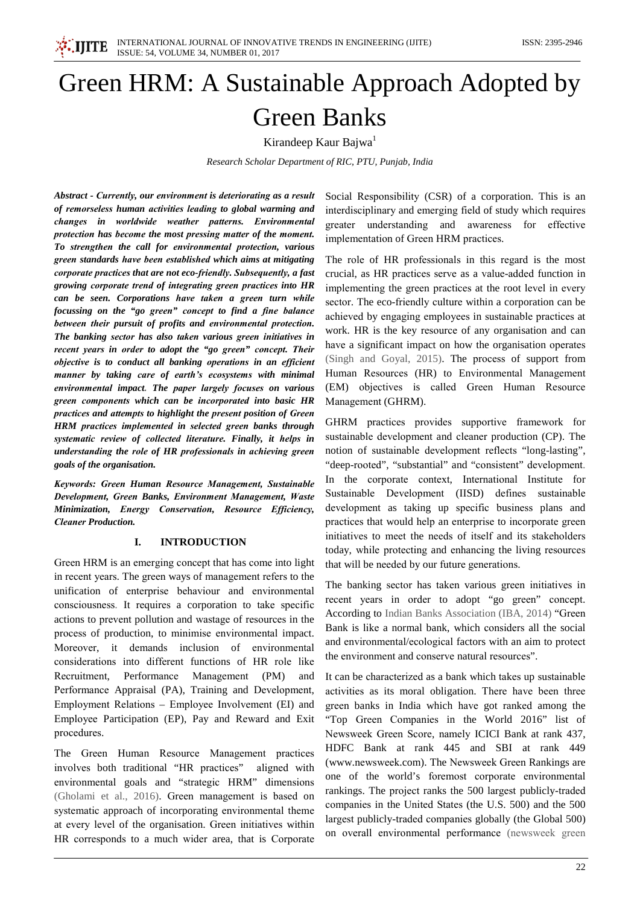

# Green HRM: A Sustainable Approach Adopted by **Green Banks**

Kirandeep Kaur Bajwa<sup>1</sup>

Research Scholar Department of RIC, PTU, Punjab, India

Abstract - Currently, our environment is deteriorating as a result of remorseless human activities leading to global warming and changes in worldwide weather patterns. Environmental protection has become the most pressing matter of the moment. To strengthen the call for environmental protection, various green standards have been established which aims at mitigating corporate practices that are not eco-friendly. Subsequently, a fast growing corporate trend of integrating green practices into HR can be seen. Corporations have taken a green turn while focussing on the "go green" concept to find a fine balance between their pursuit of profits and environmental protection. The banking sector has also taken various green initiatives in recent years in order to adopt the "go green" concept. Their objective is to conduct all banking operations in an efficient manner by taking care of earth's ecosystems with minimal environmental impact. The paper largely focuses on various green components which can be incorporated into basic HR practices and attempts to highlight the present position of Green HRM practices implemented in selected green banks through systematic review of collected literature. Finally, it helps in understanding the role of HR professionals in achieving green goals of the organisation.

Keywords: Green Human Resource Management, Sustainable Development, Green Banks, Environment Management, Waste Minimization, Energy Conservation, Resource Efficiency, **Cleaner Production.** 

#### **INTRODUCTION**  $\mathbf{I}$

Green HRM is an emerging concept that has come into light in recent years. The green ways of management refers to the unification of enterprise behaviour and environmental consciousness. It requires a corporation to take specific actions to prevent pollution and wastage of resources in the process of production, to minimise environmental impact. Moreover, it demands inclusion of environmental considerations into different functions of HR role like Recruitment. Performance Management  $(PM)$ and Performance Appraisal (PA), Training and Development, Employment Relations – Employee Involvement (EI) and Employee Participation (EP), Pay and Reward and Exit procedures.

The Green Human Resource Management practices involves both traditional "HR practices" aligned with environmental goals and "strategic HRM" dimensions (Gholami et al., 2016). Green management is based on systematic approach of incorporating environmental theme at every level of the organisation. Green initiatives within HR corresponds to a much wider area, that is Corporate

Social Responsibility (CSR) of a corporation. This is an interdisciplinary and emerging field of study which requires greater understanding and awareness for effective implementation of Green HRM practices.

The role of HR professionals in this regard is the most crucial, as HR practices serve as a value-added function in implementing the green practices at the root level in every sector. The eco-friendly culture within a corporation can be achieved by engaging employees in sustainable practices at work. HR is the key resource of any organisation and can have a significant impact on how the organisation operates (Singh and Goyal, 2015). The process of support from Human Resources (HR) to Environmental Management (EM) objectives is called Green Human Resource Management (GHRM).

GHRM practices provides supportive framework for sustainable development and cleaner production (CP). The notion of sustainable development reflects "long-lasting", "deep-rooted", "substantial" and "consistent" development. In the corporate context, International Institute for Sustainable Development (IISD) defines sustainable development as taking up specific business plans and practices that would help an enterprise to incorporate green initiatives to meet the needs of itself and its stakeholders today, while protecting and enhancing the living resources that will be needed by our future generations.

The banking sector has taken various green initiatives in recent years in order to adopt "go green" concept. According to Indian Banks Association (IBA, 2014) "Green Bank is like a normal bank, which considers all the social and environmental/ecological factors with an aim to protect the environment and conserve natural resources".

It can be characterized as a bank which takes up sustainable activities as its moral obligation. There have been three green banks in India which have got ranked among the "Top Green Companies in the World 2016" list of Newsweek Green Score, namely ICICI Bank at rank 437, HDFC Bank at rank 445 and SBI at rank 449 (www.newsweek.com). The Newsweek Green Rankings are one of the world's foremost corporate environmental rankings. The project ranks the 500 largest publicly-traded companies in the United States (the U.S. 500) and the 500 largest publicly-traded companies globally (the Global 500) on overall environmental performance (newsweek green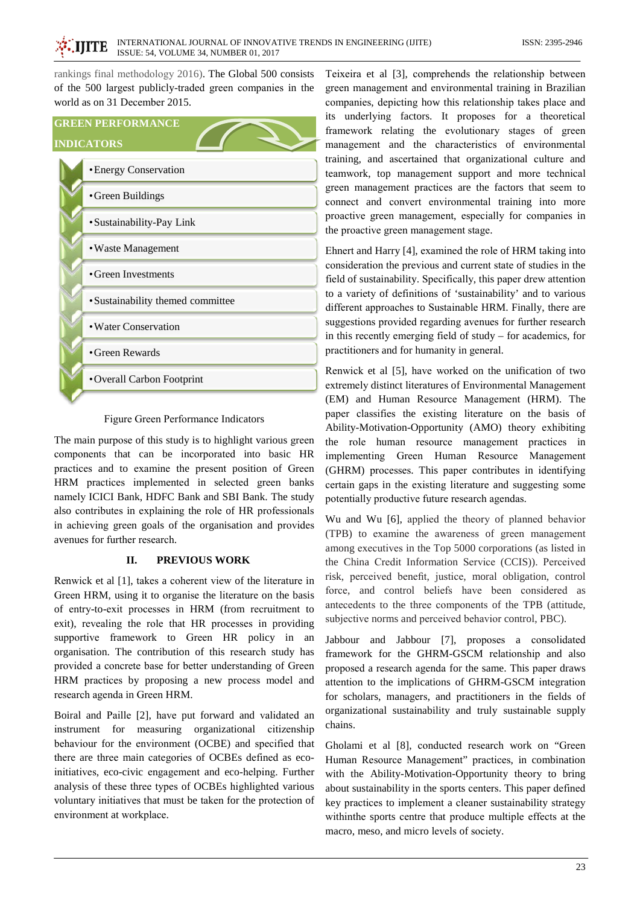rankings final methodology 2016). The Global 500 consists of the 500 largest publicly-traded green companies in the world as on 31 December 2015.

# **GREEN PERFORMANCE**

## **INDICATORS**

| • Energy Conservation             |
|-----------------------------------|
| • Green Buildings                 |
| • Sustainability-Pay Link         |
| • Waste Management                |
| • Green Investments               |
| • Sustainability themed committee |
| • Water Conservation              |
| • Green Rewards                   |
| • Overall Carbon Footprint        |
|                                   |

### Figure Green Performance Indicators

The main purpose of this study is to highlight various green components that can be incorporated into basic HR practices and to examine the present position of Green HRM practices implemented in selected green banks namely ICICI Bank, HDFC Bank and SBI Bank. The study also contributes in explaining the role of HR professionals in achieving green goals of the organisation and provides avenues for further research.

#### II. **PREVIOUS WORK**

Renwick et al [1], takes a coherent view of the literature in Green HRM, using it to organise the literature on the basis of entry-to-exit processes in HRM (from recruitment to exit), revealing the role that HR processes in providing supportive framework to Green HR policy in an organisation. The contribution of this research study has provided a concrete base for better understanding of Green HRM practices by proposing a new process model and research agenda in Green HRM.

Boiral and Paille [2], have put forward and validated an instrument for measuring organizational citizenship behaviour for the environment (OCBE) and specified that there are three main categories of OCBEs defined as ecoinitiatives, eco-civic engagement and eco-helping. Further analysis of these three types of OCBEs highlighted various voluntary initiatives that must be taken for the protection of environment at workplace.

Teixeira et al [3], comprehends the relationship between green management and environmental training in Brazilian companies, depicting how this relationship takes place and its underlying factors. It proposes for a theoretical framework relating the evolutionary stages of green management and the characteristics of environmental training, and ascertained that organizational culture and teamwork, top management support and more technical green management practices are the factors that seem to connect and convert environmental training into more proactive green management, especially for companies in the proactive green management stage.

Ehnert and Harry [4], examined the role of HRM taking into consideration the previous and current state of studies in the field of sustainability. Specifically, this paper drew attention to a variety of definitions of 'sustainability' and to various different approaches to Sustainable HRM. Finally, there are suggestions provided regarding avenues for further research in this recently emerging field of study  $-$  for academics, for practitioners and for humanity in general.

Renwick et al [5], have worked on the unification of two extremely distinct literatures of Environmental Management (EM) and Human Resource Management (HRM). The paper classifies the existing literature on the basis of Ability-Motivation-Opportunity (AMO) theory exhibiting the role human resource management practices in implementing Green Human Resource Management (GHRM) processes. This paper contributes in identifying certain gaps in the existing literature and suggesting some potentially productive future research agendas.

Wu and Wu [6], applied the theory of planned behavior (TPB) to examine the awareness of green management among executives in the Top 5000 corporations (as listed in the China Credit Information Service (CCIS)). Perceived risk, perceived benefit, justice, moral obligation, control force, and control beliefs have been considered as antecedents to the three components of the TPB (attitude, subjective norms and perceived behavior control, PBC).

Jabbour and Jabbour [7], proposes a consolidated framework for the GHRM-GSCM relationship and also proposed a research agenda for the same. This paper draws attention to the implications of GHRM-GSCM integration for scholars, managers, and practitioners in the fields of organizational sustainability and truly sustainable supply chains.

Gholami et al [8], conducted research work on "Green Human Resource Management" practices, in combination with the Ability-Motivation-Opportunity theory to bring about sustainability in the sports centers. This paper defined key practices to implement a cleaner sustainability strategy within the sports centre that produce multiple effects at the macro, meso, and micro levels of society.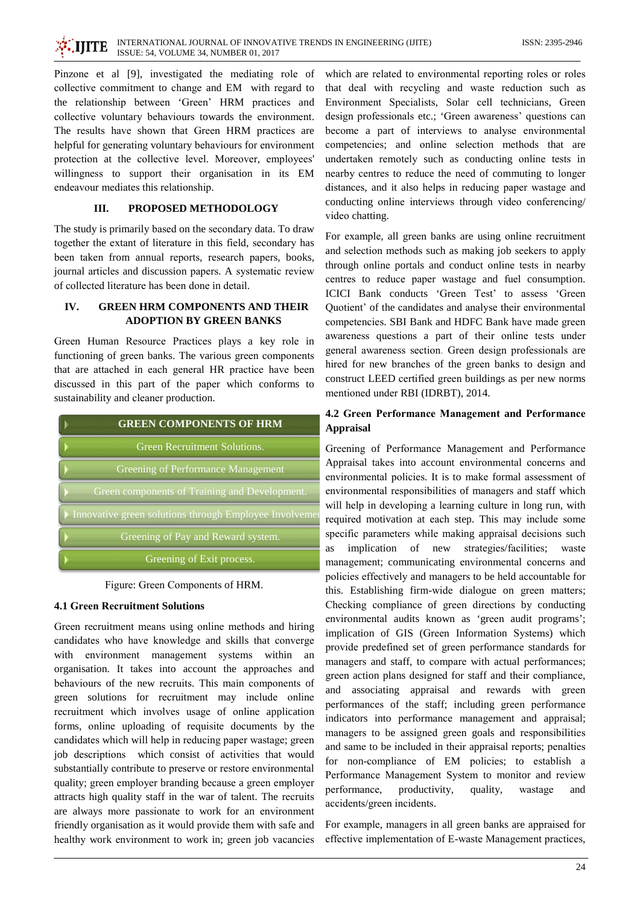**IIITE** 

Pinzone et al [9], investigated the mediating role of collective commitment to change and EM with regard to the relationship between 'Green' HRM practices and collective voluntary behaviours towards the environment. The results have shown that Green HRM practices are helpful for generating voluntary behaviours for environment protection at the collective level. Moreover, employees' willingness to support their organisation in its EM endeavour mediates this relationship.

#### III. PROPOSED METHODOLOGY

The study is primarily based on the secondary data. To draw together the extant of literature in this field, secondary has been taken from annual reports, research papers, books, journal articles and discussion papers. A systematic review of collected literature has been done in detail.

### $\mathbf{I}$ **GREEN HRM COMPONENTS AND THEIR ADOPTION BY GREEN BANKS**

Green Human Resource Practices plays a key role in functioning of green banks. The various green components that are attached in each general HR practice have been discussed in this part of the paper which conforms to sustainability and cleaner production.

| <b>GREEN COMPONENTS OF HRM</b>                        |
|-------------------------------------------------------|
| <b>Green Recruitment Solutions.</b>                   |
| Greening of Performance Management                    |
| Green components of Training and Development.         |
| Innovative green solutions through Employee Involveme |
| Greening of Pay and Reward system.                    |
| Greening of Exit process.                             |

Figure: Green Components of HRM.

## **4.1 Green Recruitment Solutions**

Green recruitment means using online methods and hiring candidates who have knowledge and skills that converge with environment management systems within an organisation. It takes into account the approaches and behaviours of the new recruits. This main components of green solutions for recruitment may include online recruitment which involves usage of online application forms, online uploading of requisite documents by the candidates which will help in reducing paper wastage; green job descriptions which consist of activities that would substantially contribute to preserve or restore environmental quality; green employer branding because a green employer attracts high quality staff in the war of talent. The recruits are always more passionate to work for an environment friendly organisation as it would provide them with safe and healthy work environment to work in; green job vacancies which are related to environmental reporting roles or roles that deal with recycling and waste reduction such as Environment Specialists, Solar cell technicians, Green design professionals etc.; 'Green awareness' questions can become a part of interviews to analyse environmental competencies; and online selection methods that are undertaken remotely such as conducting online tests in nearby centres to reduce the need of commuting to longer distances, and it also helps in reducing paper wastage and conducting online interviews through video conferencing/ video chatting.

For example, all green banks are using online recruitment and selection methods such as making job seekers to apply through online portals and conduct online tests in nearby centres to reduce paper wastage and fuel consumption. ICICI Bank conducts 'Green Test' to assess 'Green Quotient' of the candidates and analyse their environmental competencies. SBI Bank and HDFC Bank have made green awareness questions a part of their online tests under general awareness section. Green design professionals are hired for new branches of the green banks to design and construct LEED certified green buildings as per new norms mentioned under RBI (IDRBT), 2014.

# 4.2 Green Performance Management and Performance **Appraisal**

Greening of Performance Management and Performance Appraisal takes into account environmental concerns and environmental policies. It is to make formal assessment of environmental responsibilities of managers and staff which will help in developing a learning culture in long run, with required motivation at each step. This may include some specific parameters while making appraisal decisions such as implication of new strategies/facilities: waste management; communicating environmental concerns and policies effectively and managers to be held accountable for this. Establishing firm-wide dialogue on green matters; Checking compliance of green directions by conducting environmental audits known as 'green audit programs'; implication of GIS (Green Information Systems) which provide predefined set of green performance standards for managers and staff, to compare with actual performances; green action plans designed for staff and their compliance, and associating appraisal and rewards with green performances of the staff; including green performance indicators into performance management and appraisal; managers to be assigned green goals and responsibilities and same to be included in their appraisal reports; penalties for non-compliance of EM policies; to establish a Performance Management System to monitor and review quality, performance, productivity, wastage and accidents/green incidents.

For example, managers in all green banks are appraised for effective implementation of E-waste Management practices,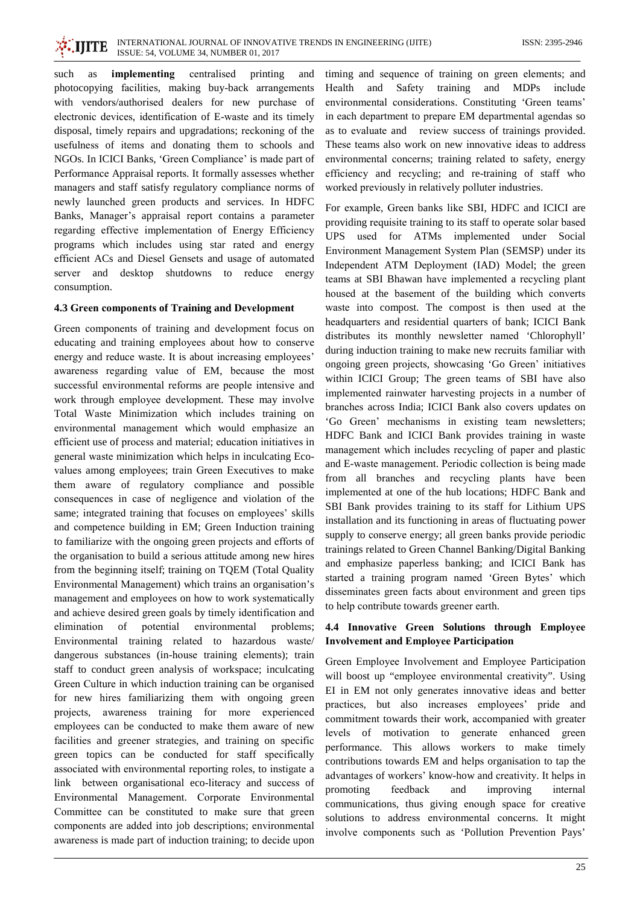

such as implementing centralised printing and photocopying facilities, making buy-back arrangements with vendors/authorised dealers for new purchase of electronic devices, identification of E-waste and its timely disposal, timely repairs and upgradations; reckoning of the usefulness of items and donating them to schools and NGOs. In ICICI Banks, 'Green Compliance' is made part of Performance Appraisal reports. It formally assesses whether managers and staff satisfy regulatory compliance norms of newly launched green products and services. In HDFC Banks, Manager's appraisal report contains a parameter regarding effective implementation of Energy Efficiency programs which includes using star rated and energy efficient ACs and Diesel Gensets and usage of automated server and desktop shutdowns to reduce energy consumption.

### 4.3 Green components of Training and Development

Green components of training and development focus on educating and training employees about how to conserve energy and reduce waste. It is about increasing employees' awareness regarding value of EM, because the most successful environmental reforms are people intensive and work through employee development. These may involve Total Waste Minimization which includes training on environmental management which would emphasize an efficient use of process and material; education initiatives in general waste minimization which helps in inculcating Ecovalues among employees; train Green Executives to make them aware of regulatory compliance and possible consequences in case of negligence and violation of the same; integrated training that focuses on employees' skills and competence building in EM; Green Induction training to familiarize with the ongoing green projects and efforts of the organisation to build a serious attitude among new hires from the beginning itself; training on TQEM (Total Quality Environmental Management) which trains an organisation's management and employees on how to work systematically and achieve desired green goals by timely identification and elimination  $\sigma$ potential environmental problems; Environmental training related to hazardous waste/ dangerous substances (in-house training elements); train staff to conduct green analysis of workspace; inculcating Green Culture in which induction training can be organised for new hires familiarizing them with ongoing green projects, awareness training for more experienced employees can be conducted to make them aware of new facilities and greener strategies, and training on specific green topics can be conducted for staff specifically associated with environmental reporting roles, to instigate a link between organisational eco-literacy and success of Environmental Management. Corporate Environmental Committee can be constituted to make sure that green components are added into job descriptions; environmental awareness is made part of induction training; to decide upon

timing and sequence of training on green elements; and Safety training and Health and **MDPs** include environmental considerations. Constituting 'Green teams' in each department to prepare EM departmental agendas so as to evaluate and review success of trainings provided. These teams also work on new innovative ideas to address environmental concerns; training related to safety, energy efficiency and recycling; and re-training of staff who worked previously in relatively polluter industries.

For example, Green banks like SBI, HDFC and ICICI are providing requisite training to its staff to operate solar based UPS used for ATMs implemented under Social Environment Management System Plan (SEMSP) under its Independent ATM Deployment (IAD) Model; the green teams at SBI Bhawan have implemented a recycling plant housed at the basement of the building which converts waste into compost. The compost is then used at the headquarters and residential quarters of bank; ICICI Bank distributes its monthly newsletter named 'Chlorophyll' during induction training to make new recruits familiar with ongoing green projects, showcasing 'Go Green' initiatives within ICICI Group; The green teams of SBI have also implemented rainwater harvesting projects in a number of branches across India: ICICI Bank also covers updates on 'Go Green' mechanisms in existing team newsletters; HDFC Bank and ICICI Bank provides training in waste management which includes recycling of paper and plastic and E-waste management. Periodic collection is being made from all branches and recycling plants have been implemented at one of the hub locations: HDFC Bank and SBI Bank provides training to its staff for Lithium UPS installation and its functioning in areas of fluctuating power supply to conserve energy; all green banks provide periodic trainings related to Green Channel Banking/Digital Banking and emphasize paperless banking; and ICICI Bank has started a training program named 'Green Bytes' which disseminates green facts about environment and green tips to help contribute towards greener earth.

# 4.4 Innovative Green Solutions through Employee **Involvement and Employee Participation**

Green Employee Involvement and Employee Participation will boost up "employee environmental creativity". Using EI in EM not only generates innovative ideas and better practices, but also increases employees' pride and commitment towards their work, accompanied with greater levels of motivation to generate enhanced green performance. This allows workers to make timely contributions towards EM and helps organisation to tap the advantages of workers' know-how and creativity. It helps in promoting feedback and improving internal communications, thus giving enough space for creative solutions to address environmental concerns. It might involve components such as 'Pollution Prevention Pays'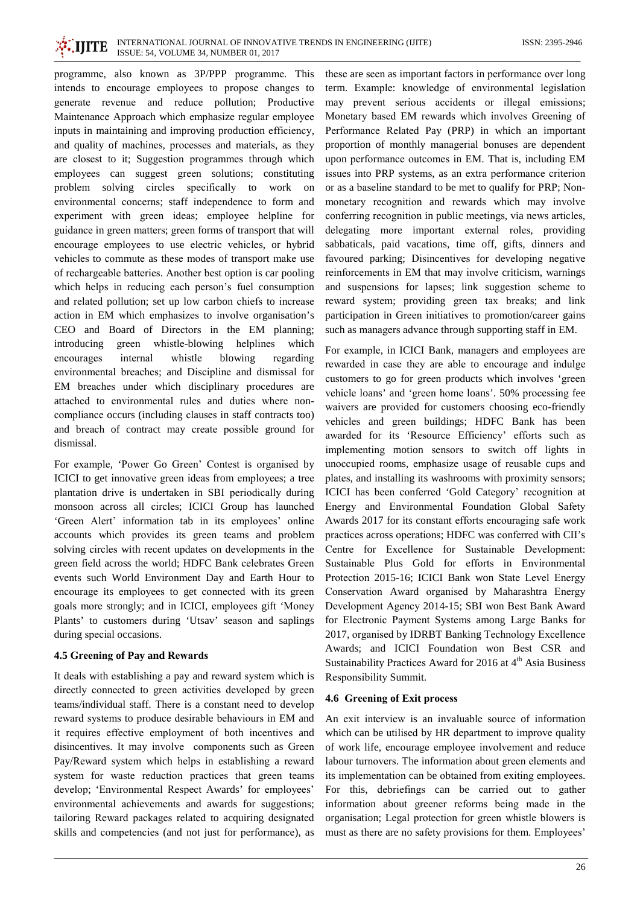programme, also known as 3P/PPP programme. This intends to encourage employees to propose changes to generate revenue and reduce pollution; Productive Maintenance Approach which emphasize regular employee inputs in maintaining and improving production efficiency, and quality of machines, processes and materials, as they are closest to it; Suggestion programmes through which employees can suggest green solutions; constituting problem solving circles specifically to work  $\alpha$ environmental concerns; staff independence to form and experiment with green ideas; employee helpline for guidance in green matters; green forms of transport that will encourage employees to use electric vehicles, or hybrid vehicles to commute as these modes of transport make use of rechargeable batteries. Another best option is car pooling which helps in reducing each person's fuel consumption and related pollution; set up low carbon chiefs to increase action in EM which emphasizes to involve organisation's CEO and Board of Directors in the EM planning; whistle-blowing helplines introducing green which encourages internal whistle blowing regarding environmental breaches; and Discipline and dismissal for EM breaches under which disciplinary procedures are attached to environmental rules and duties where noncompliance occurs (including clauses in staff contracts too) and breach of contract may create possible ground for dismissal.

For example, 'Power Go Green' Contest is organised by ICICI to get innovative green ideas from employees; a tree plantation drive is undertaken in SBI periodically during monsoon across all circles; ICICI Group has launched 'Green Alert' information tab in its employees' online accounts which provides its green teams and problem solving circles with recent updates on developments in the green field across the world; HDFC Bank celebrates Green events such World Environment Day and Earth Hour to encourage its employees to get connected with its green goals more strongly; and in ICICI, employees gift 'Money Plants' to customers during 'Utsav' season and saplings during special occasions.

# 4.5 Greening of Pay and Rewards

It deals with establishing a pay and reward system which is directly connected to green activities developed by green teams/individual staff. There is a constant need to develop reward systems to produce desirable behaviours in EM and it requires effective employment of both incentives and disincentives. It may involve components such as Green Pay/Reward system which helps in establishing a reward system for waste reduction practices that green teams develop; 'Environmental Respect Awards' for employees' environmental achievements and awards for suggestions; tailoring Reward packages related to acquiring designated skills and competencies (and not just for performance), as

these are seen as important factors in performance over long term. Example: knowledge of environmental legislation may prevent serious accidents or illegal emissions; Monetary based EM rewards which involves Greening of Performance Related Pay (PRP) in which an important proportion of monthly managerial bonuses are dependent upon performance outcomes in EM. That is, including EM issues into PRP systems, as an extra performance criterion or as a baseline standard to be met to qualify for PRP; Nonmonetary recognition and rewards which may involve conferring recognition in public meetings, via news articles, delegating more important external roles, providing sabbaticals, paid vacations, time off, gifts, dinners and favoured parking; Disincentives for developing negative reinforcements in EM that may involve criticism, warnings and suspensions for lapses; link suggestion scheme to reward system; providing green tax breaks; and link participation in Green initiatives to promotion/career gains such as managers advance through supporting staff in EM.

For example, in ICICI Bank, managers and employees are rewarded in case they are able to encourage and indulge customers to go for green products which involves 'green vehicle loans' and 'green home loans'. 50% processing fee waivers are provided for customers choosing eco-friendly vehicles and green buildings; HDFC Bank has been awarded for its 'Resource Efficiency' efforts such as implementing motion sensors to switch off lights in unoccupied rooms, emphasize usage of reusable cups and plates, and installing its washrooms with proximity sensors; ICICI has been conferred 'Gold Category' recognition at Energy and Environmental Foundation Global Safety Awards 2017 for its constant efforts encouraging safe work practices across operations; HDFC was conferred with CII's Centre for Excellence for Sustainable Development: Sustainable Plus Gold for efforts in Environmental Protection 2015-16; ICICI Bank won State Level Energy Conservation Award organised by Maharashtra Energy Development Agency 2014-15; SBI won Best Bank Award for Electronic Payment Systems among Large Banks for 2017, organised by IDRBT Banking Technology Excellence Awards: and ICICI Foundation won Best CSR and Sustainability Practices Award for 2016 at 4<sup>th</sup> Asia Business Responsibility Summit.

# 4.6 Greening of Exit process

An exit interview is an invaluable source of information which can be utilised by HR department to improve quality of work life, encourage employee involvement and reduce labour turnovers. The information about green elements and its implementation can be obtained from exiting employees. For this, debriefings can be carried out to gather information about greener reforms being made in the organisation; Legal protection for green whistle blowers is must as there are no safety provisions for them. Employees'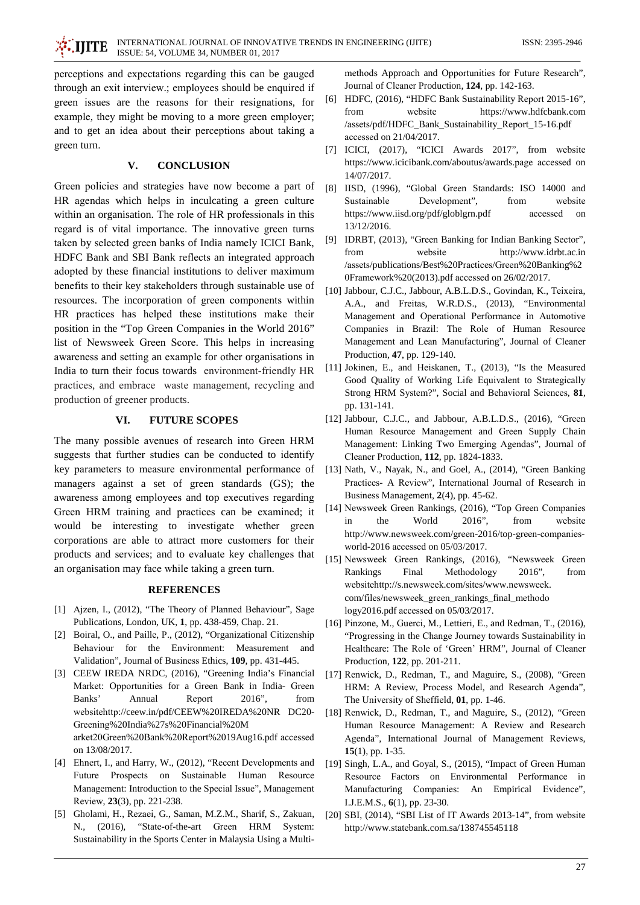perceptions and expectations regarding this can be gauged through an exit interview.; employees should be enquired if green issues are the reasons for their resignations, for example, they might be moving to a more green employer; and to get an idea about their perceptions about taking a green turn.

#### **CONCLUSION**  $V_{\star}$

Green policies and strategies have now become a part of HR agendas which helps in inculcating a green culture within an organisation. The role of HR professionals in this regard is of vital importance. The innovative green turns taken by selected green banks of India namely ICICI Bank, HDFC Bank and SBI Bank reflects an integrated approach adopted by these financial institutions to deliver maximum benefits to their key stakeholders through sustainable use of resources. The incorporation of green components within HR practices has helped these institutions make their position in the "Top Green Companies in the World 2016" list of Newsweek Green Score. This helps in increasing awareness and setting an example for other organisations in India to turn their focus towards environment-friendly HR practices, and embrace waste management, recycling and production of greener products.

#### VI. **FUTURE SCOPES**

The many possible avenues of research into Green HRM suggests that further studies can be conducted to identify key parameters to measure environmental performance of managers against a set of green standards (GS); the awareness among employees and top executives regarding Green HRM training and practices can be examined; it would be interesting to investigate whether green corporations are able to attract more customers for their products and services; and to evaluate key challenges that an organisation may face while taking a green turn.

### **REFERENCES**

- [1] Aizen, I., (2012), "The Theory of Planned Behaviour", Sage Publications, London, UK, 1, pp. 438-459, Chap. 21.
- [2] Boiral, O., and Paille, P., (2012), "Organizational Citizenship Behaviour for the Environment: Measurement and Validation", Journal of Business Ethics, 109, pp. 431-445.
- [3] CEEW IREDA NRDC, (2016), "Greening India's Financial Market: Opportunities for a Green Bank in India- Green Banks' Annual Report 2016", from websitehttp://ceew.in/pdf/CEEW%20IREDA%20NR DC20-Greening%20India%27s%20Financial%20M arket20Green%20Bank%20Report%2019Aug16.pdf accessed on 13/08/2017.
- [4] Ehnert, I., and Harry, W., (2012), "Recent Developments and Future Prospects on Sustainable Human Resource Management: Introduction to the Special Issue", Management Review, 23(3), pp. 221-238.
- [5] Gholami, H., Rezaei, G., Saman, M.Z.M., Sharif, S., Zakuan, "State-of-the-art Green HRM System:  $N_{\text{H}}$  (2016). Sustainability in the Sports Center in Malaysia Using a Multi-

methods Approach and Opportunities for Future Research", Journal of Cleaner Production, 124, pp. 142-163.

- [6] HDFC, (2016), "HDFC Bank Sustainability Report 2015-16", from website https://www.hdfcbank.com /assets/pdf/HDFC\_Bank\_Sustainability\_Report\_15-16.pdf accessed on 21/04/2017.
- [7] ICICI, (2017), "ICICI Awards 2017", from website https://www.icicibank.com/aboutus/awards.page accessed on 14/07/2017.
- [8] IISD, (1996), "Global Green Standards: ISO 14000 and Sustainable Development", from website https://www.iisd.org/pdf/globlgrn.pdf accessed  $\alpha$ 13/12/2016.
- [9] IDRBT, (2013), "Green Banking for Indian Banking Sector", from website http://www.idrbt.ac.in /assets/publications/Best%20Practices/Green%20Banking%2 0Framework%20(2013).pdf accessed on 26/02/2017.
- [10] Jabbour, C.J.C., Jabbour, A.B.L.D.S., Govindan, K., Teixeira, A.A., and Freitas, W.R.D.S., (2013), "Environmental Management and Operational Performance in Automotive Companies in Brazil: The Role of Human Resource Management and Lean Manufacturing", Journal of Cleaner Production, 47, pp. 129-140.
- [11] Jokinen, E., and Heiskanen, T., (2013), "Is the Measured Good Quality of Working Life Equivalent to Strategically Strong HRM System?", Social and Behavioral Sciences, 81, pp. 131-141.
- [12] Jabbour, C.J.C., and Jabbour, A.B.L.D.S., (2016), "Green Human Resource Management and Green Supply Chain Management: Linking Two Emerging Agendas", Journal of Cleaner Production, 112, pp. 1824-1833.
- [13] Nath, V., Nayak, N., and Goel, A., (2014), "Green Banking Practices- A Review", International Journal of Research in Business Management, 2(4), pp. 45-62.
- [14] Newsweek Green Rankings, (2016), "Top Green Companies the World  $2016$ ", from website in http://www.newsweek.com/green-2016/top-green-companiesworld-2016 accessed on 05/03/2017.
- [15] Newsweek Green Rankings, (2016), "Newsweek Green Rankings Final Methodology 2016". from websitehttp://s.newsweek.com/sites/www.newsweek. com/files/newsweek\_green\_rankings\_final\_methodo logy2016.pdf accessed on 05/03/2017.
- [16] Pinzone, M., Guerci, M., Lettieri, E., and Redman, T., (2016), "Progressing in the Change Journey towards Sustainability in Healthcare: The Role of 'Green' HRM'', Journal of Cleaner Production, 122, pp. 201-211.
- $[17]$ Renwick, D., Redman, T., and Maguire, S., (2008), "Green HRM: A Review, Process Model, and Research Agenda", The University of Sheffield, 01, pp. 1-46.
- [18] Renwick, D., Redman, T., and Maguire, S., (2012), "Green Human Resource Management: A Review and Research Agenda", International Journal of Management Reviews,  $15(1)$ , pp. 1-35.
- [19] Singh, L.A., and Goyal, S., (2015), "Impact of Green Human Resource Factors on Environmental Performance in Manufacturing Companies: An Empirical Evidence", I.J.E.M.S., 6(1), pp. 23-30.
- [20] SBI, (2014), "SBI List of IT Awards 2013-14", from website http://www.statebank.com.sa/138745545118